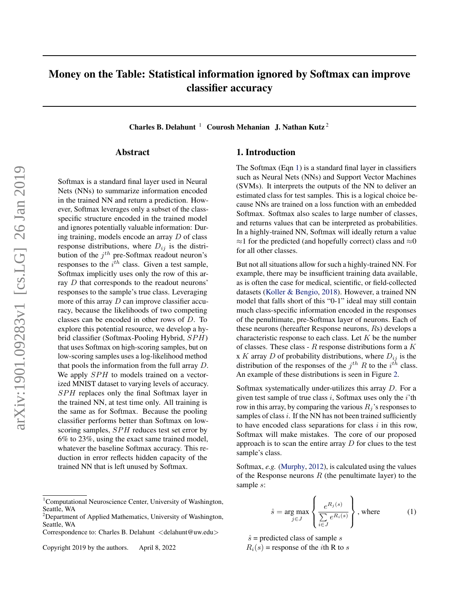# Money on the Table: Statistical information ignored by Softmax can improve classifier accuracy

Charles B. Delahunt<sup>1</sup> Courosh Mehanian J. Nathan Kutz<sup>2</sup>

## Abstract

Softmax is a standard final layer used in Neural Nets (NNs) to summarize information encoded in the trained NN and return a prediction. However, Softmax leverages only a subset of the classspecific structure encoded in the trained model and ignores potentially valuable information: During training, models encode an array D of class response distributions, where  $D_{ij}$  is the distribution of the  $j<sup>th</sup>$  pre-Softmax readout neuron's responses to the  $i^{th}$  class. Given a test sample, Softmax implicitly uses only the row of this array D that corresponds to the readout neurons' responses to the sample's true class. Leveraging more of this array  $D$  can improve classifier accuracy, because the likelihoods of two competing classes can be encoded in other rows of D. To explore this potential resource, we develop a hybrid classifier (Softmax-Pooling Hybrid,  $SPH$ ) that uses Softmax on high-scoring samples, but on low-scoring samples uses a log-likelihood method that pools the information from the full array D. We apply  $SPH$  to models trained on a vectorized MNIST dataset to varying levels of accuracy. SPH replaces only the final Softmax layer in the trained NN, at test time only. All training is the same as for Softmax. Because the pooling classifier performs better than Softmax on lowscoring samples, SPH reduces test set error by 6% to 23%, using the exact same trained model, whatever the baseline Softmax accuracy. This reduction in error reflects hidden capacity of the trained NN that is left unused by Softmax.

# 1. Introduction

The Softmax (Eqn 1) is a standard final layer in classifiers such as Neural Nets (NNs) and Support Vector Machines (SVMs). It interprets the outputs of the NN to deliver an estimated class for test samples. This is a logical choice because NNs are trained on a loss function with an embedded Softmax. Softmax also scales to large number of classes, and returns values that can be interpreted as probabilities. In a highly-trained NN, Softmax will ideally return a value  $\approx$ 1 for the predicted (and hopefully correct) class and  $\approx$ 0 for all other classes.

But not all situations allow for such a highly-trained NN. For example, there may be insufficient training data available, as is often the case for medical, scientific, or field-collected datasets [\(Koller & Bengio,](#page-9-0) [2018\)](#page-9-0). However, a trained NN model that falls short of this "0-1" ideal may still contain much class-specific information encoded in the responses of the penultimate, pre-Softmax layer of neurons. Each of these neurons (hereafter Response neurons, Rs) develops a characteristic response to each class. Let  $K$  be the number of classes. These class -  $R$  response distributions form a  $K$ x K array D of probability distributions, where  $D_{ij}$  is the distribution of the responses of the  $j^{th}$  R to the  $i^{th}$  class. An example of these distributions is seen in Figure [2.](#page-2-0)

Softmax systematically under-utilizes this array D. For a given test sample of true class  $i$ , Softmax uses only the  $i$ 'th row in this array, by comparing the various  $R_i$ 's responses to samples of class  $i$ . If the NN has not been trained sufficiently to have encoded class separations for class  $i$  in this row, Softmax will make mistakes. The core of our proposed approach is to scan the entire array  $D$  for clues to the test sample's class.

Softmax, *e.g.* [\(Murphy,](#page-9-0) [2012\)](#page-9-0), is calculated using the values of the Response neurons  $R$  (the penultimate layer) to the sample s:

$$
\hat{s} = \underset{j \in J}{\arg \max} \left\{ \frac{e^{R_j(s)}}{\sum\limits_{i \in J} e^{R_i(s)}} \right\}, \text{where} \tag{1}
$$

 $\hat{s}$  = predicted class of sample s

 $R_i(s)$  = response of the *i*th R to *s* 

<sup>&</sup>lt;sup>1</sup>Computational Neuroscience Center, University of Washington, Seattle, WA

<sup>&</sup>lt;sup>2</sup>Department of Applied Mathematics, University of Washington, Seattle, WA

Correspondence to: Charles B. Delahunt <delahunt@uw.edu>

Copyright 2019 by the authors. April 8, 2022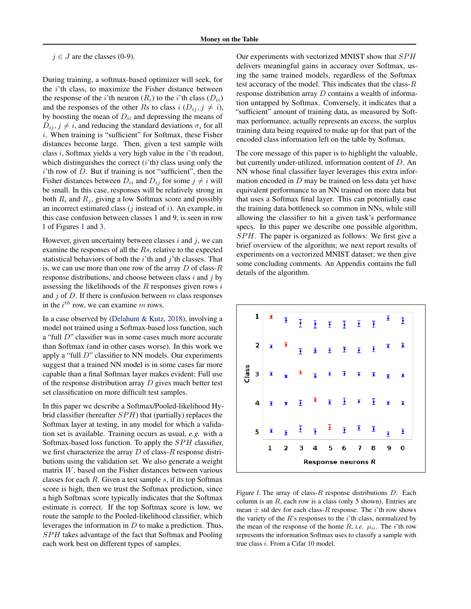#### $j \in J$  are the classes (0-9).

During training, a softmax-based optimizer will seek, for the  $i$ 'th class, to maximize the Fisher distance between the response of the *i*'th neuron  $(R_i)$  to the *i*'th class  $(D_{ii})$ and the responses of the other Rs to class  $i$  ( $D_{ij}$ ,  $j \neq i$ ), by boosting the mean of  $D_{ii}$  and depressing the means of  $D_{ij}$ ,  $j \neq i$ , and reducing the standard deviations  $\sigma_i$  for all i. When training is "sufficient" for Softmax, these Fisher distances become large. Then, given a test sample with class i, Softmax yields a very high value in the i'th readout, which distinguishes the correct  $(i'$ th) class using only the  $i$ 'th row of  $D$ . But if training is not "sufficient", then the Fisher distances between  $D_{ii}$  and  $D_{ij}$  for some  $j \neq i$  will be small. In this case, responses will be relatively strong in both  $R_i$  and  $R_j$ , giving a low Softmax score and possibly an incorrect estimated class  $(j$  instead of  $i$ ). An example, in this case confusion between classes 1 and 9, is seen in row 1 of Figures 1 and [3.](#page-2-0)

However, given uncertainty between classes  $i$  and  $j$ , we can examine the responses of all the Rs, relative to the expected statistical behaviors of both the  $i$ <sup>th</sup> and  $j$ <sup>th</sup> classes. That is, we can use more than one row of the array  $D$  of class- $R$ response distributions, and choose between class  $i$  and  $j$  by assessing the likelihoods of the  $R$  responses given rows  $i$ and  $j$  of  $D$ . If there is confusion between  $m$  class responses in the  $i^{th}$  row, we can examine m rows.

In a case observed by [\(Delahunt & Kutz,](#page-9-0) [2018\)](#page-9-0), involving a model not trained using a Softmax-based loss function, such a "full D" classifier was in some cases much more accurate than Softmax (and in other cases worse). In this work we apply a "full D" classifier to NN models. Our experiments suggest that a trained NN model is in some cases far more capable than a final Softmax layer makes evident: Full use of the response distribution array  $D$  gives much better test set classification on more difficult test samples.

In this paper we describe a Softmax/Pooled-likelihood Hybrid classifier (hereafter  $SPH$ ) that (partially) replaces the Softmax layer at testing, in any model for which a validation set is available. Training occurs as usual, *e.g.* with a Softmax-based loss function. To apply the  $SPH$  classifier, we first characterize the array  $D$  of class- $R$  response distributions using the validation set. We also generate a weight matrix W, based on the Fisher distances between various classes for each  $R$ . Given a test sample  $s$ , if its top Softmax score is high, then we trust the Softmax prediction, since a high Softmax score typically indicates that the Softmax estimate is correct. If the top Softmax score is low, we route the sample to the Pooled-likelihood classifier, which leverages the information in  $D$  to make a prediction. Thus, SPH takes advantage of the fact that Softmax and Pooling each work best on different types of samples.

Our experiments with vectorized MNIST show that SPH delivers meaningful gains in accuracy over Softmax, using the same trained models, regardless of the Softmax test accuracy of the model. This indicates that the class- $R$ response distribution array D contains a wealth of information untapped by Softmax. Conversely, it indicates that a "sufficient" amount of training data, as measured by Softmax performance, actually represents an excess, the surplus training data being required to make up for that part of the encoded class information left on the table by Softmax.

The core message of this paper is to highlight the valuable, but currently under-utilized, information content of D. An NN whose final classifier layer leverages this extra information encoded in  $D$  may be trained on less data yet have equivalent performance to an NN trained on more data but that uses a Softmax final layer. This can potentially ease the training data bottleneck so common in NNs, while still allowing the classifier to hit a given task's performance specs. In this paper we describe one possible algorithm,  $SPH$ . The paper is organized as follows: We first give a brief overview of the algorithm; we next report results of experiments on a vectorized MNIST dataset; we then give some concluding comments. An Appendix contains the full details of the algorithm.



Figure 1. The array of class- $R$  response distributions  $D$ . Each column is an  $R$ , each row is a class (only 5 shown). Entries are mean  $\pm$  std dev for each class-R response. The *i*'th row shows the variety of the  $R$ 's responses to the  $i$ 'th class, normalized by the mean of the response of the home  $R$ , *i.e.*  $\mu_{ii}$ . The *i*'th row represents the information Softmax uses to classify a sample with true class i. From a Cifar 10 model.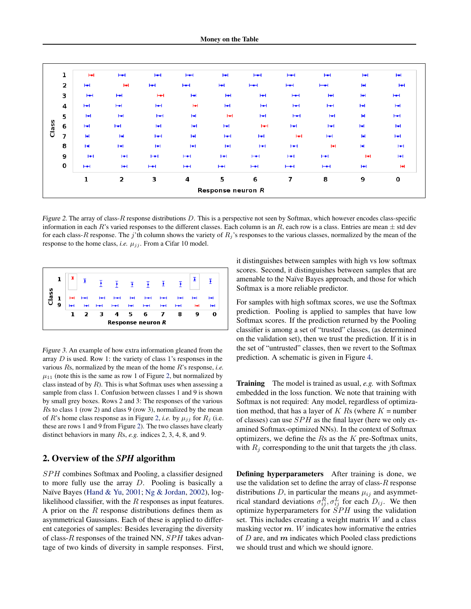<span id="page-2-0"></span>

|       | 1                       | H             | H     | H     | $H +$        | H                 | H     | $H +$                    | H                        | H                     | н     |
|-------|-------------------------|---------------|-------|-------|--------------|-------------------|-------|--------------------------|--------------------------|-----------------------|-------|
|       | $\overline{\mathbf{2}}$ | H             | ы     | H     | H            | H                 | $H +$ | $H +$                    | $\overline{\phantom{0}}$ | H                     | H     |
|       | З                       | H             | H     | H     | H            | H                 | H     | $H +$                    | H                        | юł                    | н     |
|       | $\overline{4}$          | H             | H     | ю     | ы            | н                 | H     | H                        | н                        | H                     | НH    |
|       | 5                       | ы             | H     | $H +$ | H            | H                 | H     | $H +$                    | H                        | юł                    | $H +$ |
| Class | 6                       | H             | $H +$ | H     | H            | H                 | H     | H                        | H                        | H                     | H     |
|       | 7                       | H             | H     | H     | H            | H                 | H     | H                        | H                        | $\blacktriangleright$ | H     |
|       | 8                       | $H^{\bullet}$ | H     | H     | H            | H                 | H     | H                        | юH                       | $\blacktriangleright$ | H     |
|       | 9                       | H             | н     | $H +$ | $H +$        | H                 | $H +$ | $H +$                    | $H + H$                  | ы                     | н     |
|       | 0                       | $H +$         | H     | $H +$ | $\mathbf{H}$ | H                 | $H +$ | $\overline{\phantom{0}}$ | H                        | H                     | юł    |
|       |                         | 1             | 2     | з     | 4            | 5                 | 6     | 7                        | 8                        | 9                     | 0     |
|       |                         |               |       |       |              | Response neuron R |       |                          |                          |                       |       |

Figure 2. The array of class-R response distributions  $D$ . This is a perspective not seen by Softmax, which however encodes class-specific information in each R's varied responses to the different classes. Each column is an R, each row is a class. Entries are mean  $\pm$  std dev for each class-R response. The j'th column shows the variety of  $R_j$ 's responses to the various classes, normalized by the mean of the response to the home class, *i.e.*  $\mu_{jj}$ . From a Cifar 10 model.



Figure 3. An example of how extra information gleaned from the array  $D$  is used. Row 1: the variety of class 1's responses in the various Rs, normalized by the mean of the home R's response, *i.e.*  $\mu_{11}$  (note this is the same as row 1 of Figure 2, but normalized by class instead of by  $R$ ). This is what Softmax uses when assessing a sample from class 1. Confusion between classes 1 and 9 is shown by small grey boxes. Rows 2 and 3: The responses of the various Rs to class 1 (row 2) and class 9 (row 3), normalized by the mean of R's home class response as in Figure 2, *i.e.* by  $\mu_{jj}$  for  $R_j$  (i.e. these are rows 1 and 9 from Figure 2). The two classes have clearly distinct behaviors in many Rs, *e.g.* indices 2, 3, 4, 8, and 9.

# 2. Overview of the *SPH* algorithm

SPH combines Softmax and Pooling, a classifier designed to more fully use the array D. Pooling is basically a Naïve Bayes [\(Hand & Yu,](#page-9-0) [2001;](#page-9-0) [Ng & Jordan,](#page-9-0) [2002\)](#page-9-0), loglikelihood classifier, with the  $R$  responses as input features. A prior on the  $R$  response distributions defines them as asymmetrical Gaussians. Each of these is applied to different categories of samples: Besides leveraging the diversity of class- $R$  responses of the trained NN,  $SPH$  takes advantage of two kinds of diversity in sample responses. First, it distinguishes between samples with high vs low softmax scores. Second, it distinguishes between samples that are amenable to the Naïve Bayes approach, and those for which Softmax is a more reliable predictor.

For samples with high softmax scores, we use the Softmax prediction. Pooling is applied to samples that have low Softmax scores. If the prediction returned by the Pooling classifier is among a set of "trusted" classes, (as determined on the validation set), then we trust the prediction. If it is in the set of "untrusted" classes, then we revert to the Softmax prediction. A schematic is given in Figure [4.](#page-3-0)

Training The model is trained as usual, *e.g.* with Softmax embedded in the loss function. We note that training with Softmax is not required: Any model, regardless of optimization method, that has a layer of K Rs (where  $K =$  number of classes) can use  $SPH$  as the final layer (here we only examined Softmax-optimized NNs). In the context of Softmax optimizers, we define the  $Rs$  as the  $K$  pre-Softmax units, with  $R_j$  corresponding to the unit that targets the *j*th class.

Defining hyperparameters After training is done, we use the validation set to define the array of class- $R$  response distributions D, in particular the means  $\mu_{ij}$  and asymmetrical standard deviations  $\sigma_{ij}^R$ ,  $\sigma_{ij}^L$  for each  $D_{ij}$ . We then optimize hyperparameters for  $SPH$  using the validation set. This includes creating a weight matrix  $W$  and a class masking vector  $m$ . W indicates how informative the entries of  $D$  are, and  $m$  indicates which Pooled class predictions we should trust and which we should ignore.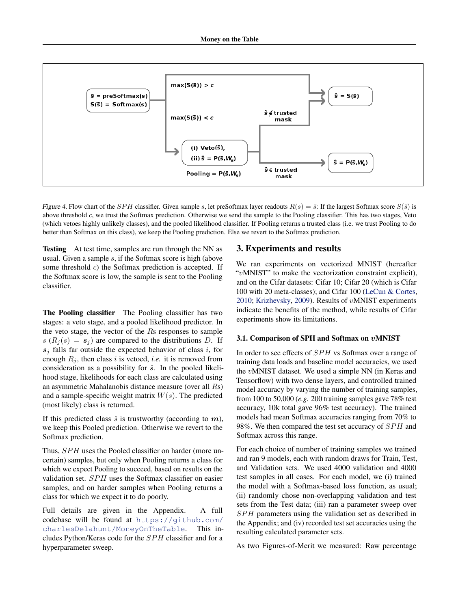<span id="page-3-0"></span>

Figure 4. Flow chart of the SPH classifier. Given sample s, let preSoftmax layer readouts  $R(s) = \bar{s}$ : If the largest Softmax score  $S(\bar{s})$  is above threshold c, we trust the Softmax prediction. Otherwise we send the sample to the Pooling classifier. This has two stages, Veto (which vetoes highly unlikely classes), and the pooled likelihood classifier. If Pooling returns a trusted class (i.e. we trust Pooling to do better than Softmax on this class), we keep the Pooling prediction. Else we revert to the Softmax prediction.

Testing At test time, samples are run through the NN as usual. Given a sample s, if the Softmax score is high (above some threshold c) the Softmax prediction is accepted. If the Softmax score is low, the sample is sent to the Pooling classifier.

The Pooling classifier The Pooling classifier has two stages: a veto stage, and a pooled likelihood predictor. In the veto stage, the vector of the Rs responses to sample  $s(R_i(s) = s_i)$  are compared to the distributions D. If  $s_j$  falls far outside the expected behavior of class i, for enough  $R_j$ , then class i is vetoed, *i.e.* it is removed from consideration as a possibility for  $\hat{s}$ . In the pooled likelihood stage, likelihoods for each class are calculated using an asymmetric Mahalanobis distance measure (over all Rs) and a sample-specific weight matrix  $W(s)$ . The predicted (most likely) class is returned.

If this predicted class  $\hat{s}$  is trustworthy (according to m), we keep this Pooled prediction. Otherwise we revert to the Softmax prediction.

Thus, SPH uses the Pooled classifier on harder (more uncertain) samples, but only when Pooling returns a class for which we expect Pooling to succeed, based on results on the validation set. SPH uses the Softmax classifier on easier samples, and on harder samples when Pooling returns a class for which we expect it to do poorly.

Full details are given in the Appendix. A full codebase will be found at [https://github.com/](https://github.com/charlesDelahunt/MoneyOnTheTable) [charlesDelahunt/MoneyOnTheTable](https://github.com/charlesDelahunt/MoneyOnTheTable). This includes Python/Keras code for the  $SPH$  classifier and for a hyperparameter sweep.

# 3. Experiments and results

We ran experiments on vectorized MNIST (hereafter "vMNIST" to make the vectorization constraint explicit), and on the Cifar datasets: Cifar 10; Cifar 20 (which is Cifar 100 with 20 meta-classes); and Cifar 100 [\(LeCun & Cortes,](#page-9-0) [2010;](#page-9-0) [Krizhevsky,](#page-9-0) [2009\)](#page-9-0). Results of vMNIST experiments indicate the benefits of the method, while results of Cifar experiments show its limitations.

#### 3.1. Comparison of SPH and Softmax on vMNIST

In order to see effects of *SPH* vs Softmax over a range of training data loads and baseline model accuracies, we used the vMNIST dataset. We used a simple NN (in Keras and Tensorflow) with two dense layers, and controlled trained model accuracy by varying the number of training samples, from 100 to 50,000 (*e.g.* 200 training samples gave 78% test accuracy, 10k total gave 96% test accuracy). The trained models had mean Softmax accuracies ranging from 70% to 98%. We then compared the test set accuracy of SPH and Softmax across this range.

For each choice of number of training samples we trained and ran 9 models, each with random draws for Train, Test, and Validation sets. We used 4000 validation and 4000 test samples in all cases. For each model, we (i) trained the model with a Softmax-based loss function, as usual; (ii) randomly chose non-overlapping validation and test sets from the Test data; (iii) ran a parameter sweep over SPH parameters using the validation set as described in the Appendix; and (iv) recorded test set accuracies using the resulting calculated parameter sets.

As two Figures-of-Merit we measured: Raw percentage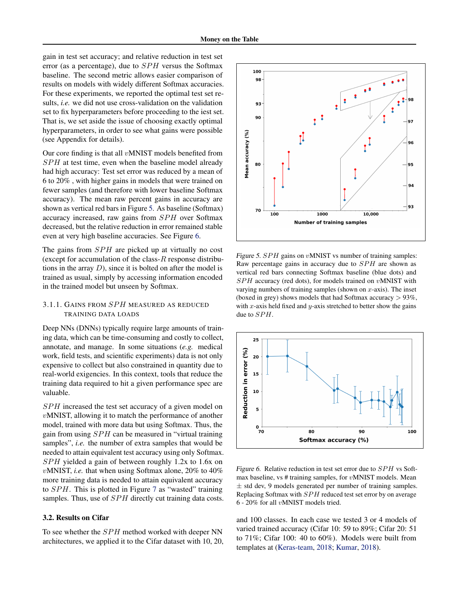<span id="page-4-0"></span>gain in test set accuracy; and relative reduction in test set error (as a percentage), due to  $SPH$  versus the Softmax baseline. The second metric allows easier comparison of results on models with widely different Softmax accuracies. For these experiments, we reported the optimal test set results, *i.e.* we did not use cross-validation on the validation set to fix hyperparameters before proceeding to the iest set. That is, we set aside the issue of choosing exactly optimal hyperparameters, in order to see what gains were possible (see Appendix for details).

Our core finding is that all  $v$ MNIST models benefited from  $SPH$  at test time, even when the baseline model already had high accuracy: Test set error was reduced by a mean of 6 to 20% , with higher gains in models that were trained on fewer samples (and therefore with lower baseline Softmax accuracy). The mean raw percent gains in accuracy are shown as vertical red bars in Figure 5. As baseline (Softmax) accuracy increased, raw gains from SPH over Softmax decreased, but the relative reduction in error remained stable even at very high baseline accuracies. See Figure 6.

The gains from  $SPH$  are picked up at virtually no cost (except for accumulation of the class- $R$  response distributions in the array  $D$ ), since it is bolted on after the model is trained as usual, simply by accessing information encoded in the trained model but unseen by Softmax.

# 3.1.1. GAINS FROM SPH MEASURED AS REDUCED TRAINING DATA LOADS

Deep NNs (DNNs) typically require large amounts of training data, which can be time-consuming and costly to collect, annotate, and manage. In some situations (*e.g.* medical work, field tests, and scientific experiments) data is not only expensive to collect but also constrained in quantity due to real-world exigencies. In this context, tools that reduce the training data required to hit a given performance spec are valuable.

SPH increased the test set accuracy of a given model on vMNIST, allowing it to match the performance of another model, trained with more data but using Softmax. Thus, the gain from using  $SPH$  can be measured in "virtual training" samples", *i.e.* the number of extra samples that would be needed to attain equivalent test accuracy using only Softmax.  $SPH$  yielded a gain of between roughly 1.2x to 1.6x on vMNIST, *i.e.* that when using Softmax alone, 20% to 40% more training data is needed to attain equivalent accuracy to  $SPH$ . This is plotted in Figure [7](#page-5-0) as "wasted" training samples. Thus, use of SPH directly cut training data costs.

## 3.2. Results on Cifar

To see whether the  $SPH$  method worked with deeper NN architectures, we applied it to the Cifar dataset with 10, 20,



Figure 5.  $SPH$  gains on vMNIST vs number of training samples: Raw percentage gains in accuracy due to  $SPH$  are shown as vertical red bars connecting Softmax baseline (blue dots) and  $SPH$  accuracy (red dots), for models trained on  $v$ MNIST with varying numbers of training samples (shown on  $x$ -axis). The inset (boxed in grey) shows models that had Softmax accuracy  $> 93\%$ , with x-axis held fixed and y-axis stretched to better show the gains due to  $SPH$ .



Figure 6. Relative reduction in test set error due to  $SPH$  vs Softmax baseline, vs  $#$  training samples, for *vMNIST* models. Mean ± std dev, 9 models generated per number of training samples. Replacing Softmax with  $SPH$  reduced test set error by on average 6 - 20% for all vMNIST models tried.

and 100 classes. In each case we tested 3 or 4 models of varied trained accuracy (Cifar 10: 59 to 89%; Cifar 20: 51 to 71%; Cifar 100: 40 to 60%). Models were built from templates at [\(Keras-team,](#page-9-0) [2018;](#page-9-0) [Kumar,](#page-9-0) [2018\)](#page-9-0).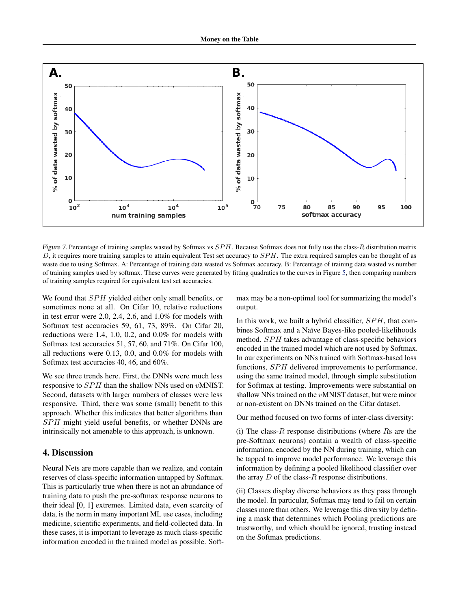<span id="page-5-0"></span>

Figure 7. Percentage of training samples wasted by Softmax vs  $SPH$ . Because Softmax does not fully use the class-R distribution matrix D, it requires more training samples to attain equivalent Test set accuracy to  $SPH$ . The extra required samples can be thought of as waste due to using Softmax. A: Percentage of training data wasted vs Softmax accuracy. B: Percentage of training data wasted vs number of training samples used by softmax. These curves were generated by fitting quadratics to the curves in Figure [5,](#page-4-0) then comparing numbers of training samples required for equivalent test set accuracies.

We found that *SPH* yielded either only small benefits, or sometimes none at all. On Cifar 10, relative reductions in test error were 2.0, 2.4, 2.6, and 1.0% for models with Softmax test accuracies 59, 61, 73, 89%. On Cifar 20, reductions were 1.4, 1.0, 0.2, and 0.0% for models with Softmax test accuracies 51, 57, 60, and 71%. On Cifar 100, all reductions were 0.13, 0.0, and 0.0% for models with Softmax test accuracies 40, 46, and 60%.

We see three trends here. First, the DNNs were much less responsive to SPH than the shallow NNs used on vMNIST. Second, datasets with larger numbers of classes were less responsive. Third, there was some (small) benefit to this approach. Whether this indicates that better algorithms than SPH might yield useful benefits, or whether DNNs are intrinsically not amenable to this approach, is unknown.

# 4. Discussion

Neural Nets are more capable than we realize, and contain reserves of class-specific information untapped by Softmax. This is particularly true when there is not an abundance of training data to push the pre-softmax response neurons to their ideal [0, 1] extremes. Limited data, even scarcity of data, is the norm in many important ML use cases, including medicine, scientific experiments, and field-collected data. In these cases, it is important to leverage as much class-specific information encoded in the trained model as possible. Softmax may be a non-optimal tool for summarizing the model's output.

In this work, we built a hybrid classifier,  $SPH$ , that combines Softmax and a Naïve Bayes-like pooled-likelihoods method. SPH takes advantage of class-specific behaviors encoded in the trained model which are not used by Softmax. In our experiments on NNs trained with Softmax-based loss functions, SPH delivered improvements to performance, using the same trained model, through simple substitution for Softmax at testing. Improvements were substantial on shallow NNs trained on the vMNIST dataset, but were minor or non-existent on DNNs trained on the Cifar dataset.

Our method focused on two forms of inter-class diversity:

(i) The class- $R$  response distributions (where  $Rs$  are the pre-Softmax neurons) contain a wealth of class-specific information, encoded by the NN during training, which can be tapped to improve model performance. We leverage this information by defining a pooled likelihood classifier over the array  $D$  of the class- $R$  response distributions.

(ii) Classes display diverse behaviors as they pass through the model. In particular, Softmax may tend to fail on certain classes more than others. We leverage this diversity by defining a mask that determines which Pooling predictions are trustworthy, and which should be ignored, trusting instead on the Softmax predictions.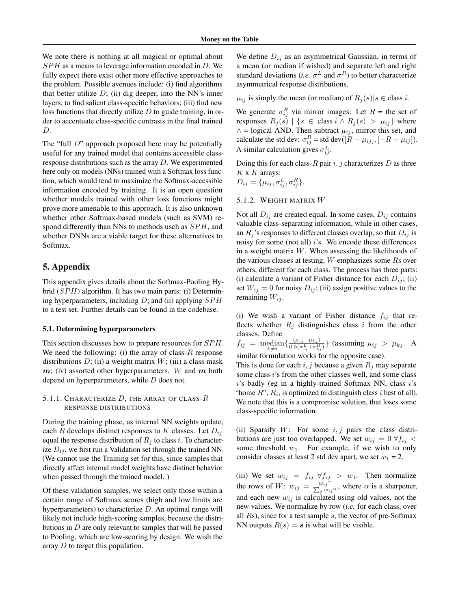We note there is nothing at all magical or optimal about  $SPH$  as a means to leverage information encoded in D. We fully expect there exist other more effective approaches to the problem. Possible avenues include: (i) find algorithms that better utilize  $D$ ; (ii) dig deeper, into the NN's inner layers, to find salient class-specific behaviors; (iii) find new loss functions that directly utilize  $D$  to guide training, in order to accentuate class-specific contrasts in the final trained D.

The "full  $D$ " approach proposed here may be potentially useful for any trained model that contains accessible classresponse distributions such as the array D. We experimented here only on models (NNs) trained with a Softmax loss function, which would tend to maximize the Softmax-accessible information encoded by training. It is an open question whether models trained with other loss functions might prove more amenable to this approach. It is also unknown whether other Softmax-based models (such as SVM) respond differently than NNs to methods usch as  $SPH$ , and whether DNNs are a viable target for these alternatives to Softmax.

# 5. Appendix

This appendix gives details about the Softmax-Pooling Hybrid  $(SPH)$  algorithm. It has two main parts: (i) Determining hyperparameters, including  $D$ ; and (ii) applying  $SPH$ to a test set. Further details can be found in the codebase.

#### 5.1. Determining hyperparameters

This section discusses how to prepare resources for  $SPH$ . We need the following: (i) the array of class- $R$  response distributions  $D$ ; (ii) a weight matrix  $W$ ; (iii) a class mask  $m$ ; (iv) assorted other hyperparameters. W and  $m$  both depend on hyperparameters, while D does not.

# 5.1.1. CHARACTERIZE  $D$ , THE ARRAY OF CLASS- $R$ RESPONSE DISTRIBUTIONS

During the training phase, as internal NN weights update, each R develops distinct responses to K classes. Let  $D_{ij}$ equal the response distribution of  $R_i$  to class i. To characterize  $D_{ij}$ , we first run a Validation set through the trained NN. (We cannot use the Training set for this, since samples that directly affect internal model weights have distinct behavior when passed through the trained model. )

Of these validation samples, we select only those within a certain range of Softmax scores (high and low limits are hyperparameters) to characterize  $D$ . An optimal range will likely not include high-scoring samples, because the distributions in  $D$  are only relevant to samples that will be passed to Pooling, which are low-scoring by design. We wish the array D to target this population.

We define  $D_{ij}$  as an asymmetrical Gaussian, in terms of a mean (or median if wished) and separate left and right standard deviations (*i.e.*  $\sigma^L$  and  $\sigma^R$ ) to better characterize asymmetrical response distributions.

 $\mu_{ij}$  is simply the mean (or median) of  $R_i(s)|s \in \text{class } i$ .

We generate  $\sigma_{ij}^R$  via mirror images: Let  $R =$  the set of responses  $R_j(s) | \{s \in \text{class } i \wedge R_j(s) > \mu_{ij}\}\$  where  $\wedge$  = logical AND. Then subtract  $\mu_{ij}$ , mirror this set, and calculate the std dev:  $\sigma_{ij}^R =$  std dev $([R - \mu_{ij}], [-R + \mu_{ij}]).$ A similar calculation gives  $\sigma_{ij}^L$ .

Doing this for each class-R pair  $i, j$  characterizes D as three  $K$  x  $K$  arrays:

$$
D_{ij} = \{\mu_{ij}, \sigma_{ij}^L, \sigma_{ij}^R\}.
$$

## 5.1.2. WEIGHT MATRIX W

Not all  $D_{ij}$  are created equal. In some cases,  $D_{ij}$  contains valuable class-separating information, while in other cases, an  $R_i$ 's responses to different classes overlap, so that  $D_{ij}$  is noisy for some (not all) i's. We encode these differences in a weight matrix W. When assessing the likelihoods of the various classes at testing, W emphasizes some Rs over others, different for each class. The process has three parts: (i) calculate a variant of Fisher distance for each  $D_{ij}$ ; (ii) set  $W_{ij} = 0$  for noisy  $D_{ij}$ ; (iii) assign positive values to the remaining  $W_{ij}$ .

(i) We wish a variant of Fisher distance  $f_{ij}$  that reflects whether  $R_i$  distinguishes class i from the other classes. Define

 $f_{ij} = \text{median}\{\frac{(\mu_{ij}-\mu_{kj})}{0.5(\sigma_{ij}^L+\sigma_{k_{ij}}^R)}\}$  $\frac{(\mu_{ij}-\mu_{kj})}{0.5(\sigma_{ij}^L+\sigma_{kj}^R)}\}$  (assuming  $\mu_{ij} > \mu_{kj}$ . A

similar formulation works for the opposite case).

This is done for each i, j because a given  $R_i$  may separate some class i's from the other classes well, and some class  $i$ 's badly (eg in a highly-trained Softmax NN, class  $i$ 's "home  $R$ ",  $R_i$ , is optimized to distinguish class i best of all). We note that this is a compromise solution, that loses some class-specific information.

(ii) Sparsify  $W$ : For some  $i, j$  pairs the class distributions are just too overlapped. We set  $w_{ij} = 0 \ \forall f_{ij}$  < some threshold  $w_1$ . For example, if we wish to only consider classes at least 2 std dev apart, we set  $w_1 = 2$ .

(iii) We set  $w_{ij} = f_{ij} \ \forall f_{ij} > w_1$ . Then normalize the rows of  $W: w_{ij} = \frac{w_{ij}^{a}}{\sum_i w_{ii}}$  $\frac{w_{ij}}{\sum_j w_{ij}^{\alpha}}$ , where  $\alpha$  is a sharpener, and each new  $w_{ij}$  is calculated using old values, not the new values. We normalize by row (*i.e.* for each class, over all  $Rs$ ), since for a test sample  $s$ , the vector of pre-Softmax NN outputs  $R(s) = s$  is what will be visible.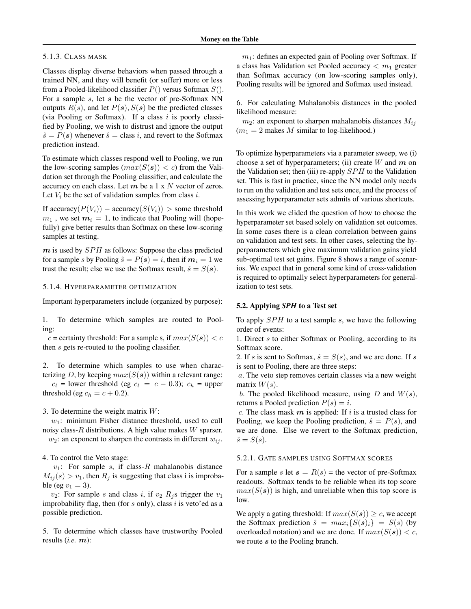#### 5.1.3. CLASS MASK

Classes display diverse behaviors when passed through a trained NN, and they will benefit (or suffer) more or less from a Pooled-likelihood classifier  $P()$  versus Softmax  $S()$ . For a sample  $s$ , let  $s$  be the vector of pre-Softmax NN outputs  $R(s)$ , and let  $P(s)$ ,  $S(s)$  be the predicted classes (via Pooling or Softmax). If a class  $i$  is poorly classified by Pooling, we wish to distrust and ignore the output  $\hat{s} = P(s)$  whenever  $\hat{s} =$  class i, and revert to the Softmax prediction instead.

To estimate which classes respond well to Pooling, we run the low-scoring samples  $(max(S(s)) < c)$  from the Validation set through the Pooling classifier, and calculate the accuracy on each class. Let  $m$  be a 1 x  $N$  vector of zeros. Let  $V_i$  be the set of validation samples from class i.

If accuracy( $P(V_i)$ ) – accuracy( $S(V_i)$ ) > some threshold  $m_1$ , we set  $m_i = 1$ , to indicate that Pooling will (hopefully) give better results than Softmax on these low-scoring samples at testing.

 $m$  is used by  $SPH$  as follows: Suppose the class predicted for a sample s by Pooling  $\hat{s} = P(s) = i$ , then if  $m_i = 1$  we trust the result; else we use the Softmax result,  $\hat{s} = S(s)$ .

## 5.1.4. HYPERPARAMETER OPTIMIZATION

Important hyperparameters include (organized by purpose):

1. To determine which samples are routed to Pooling:

c = certainty threshold: For a sample s, if  $max(S(s)) < c$ then s gets re-routed to the pooling classifier.

2. To determine which samples to use when characterizing D, by keeping  $max(S(s))$  within a relevant range:

 $c_l$  = lower threshold (eg  $c_l = c - 0.3$ );  $c_h$  = upper threshold (eg  $c_h = c + 0.2$ ).

3. To determine the weight matrix W:

 $w_1$ : minimum Fisher distance threshold, used to cull noisy class- $R$  distributions. A high value makes  $W$  sparser.  $w_2$ : an exponent to sharpen the contrasts in different  $w_{ij}$ .

#### 4. To control the Veto stage:

 $v_1$ : For sample s, if class-R mahalanobis distance  $M_{ij}(s) > v_1$ , then  $R_j$  is suggesting that class i is improbable (eg  $v_1 = 3$ ).

 $v_2$ : For sample s and class i, if  $v_2$   $R_i$ s trigger the  $v_1$ improbability flag, then (for  $s$  only), class  $i$  is veto'ed as a possible prediction.

5. To determine which classes have trustworthy Pooled results (*i.e.* m):

 $m_1$ : defines an expected gain of Pooling over Softmax. If a class has Validation set Pooled accuracy  $\langle m_1 \rangle$  greater than Softmax accuracy (on low-scoring samples only), Pooling results will be ignored and Softmax used instead.

6. For calculating Mahalanobis distances in the pooled likelihood measure:

 $m_2$ : an exponent to sharpen mahalanobis distances  $M_{ij}$  $(m_1 = 2$  makes M similar to log-likelihood.)

To optimize hyperparameters via a parameter sweep, we (i) choose a set of hyperparameters; (ii) create W and  $m$  on the Validation set; then (iii) re-apply  $SPH$  to the Validation set. This is fast in practice, since the NN model only needs to run on the validation and test sets once, and the process of assessing hyperparameter sets admits of various shortcuts.

In this work we elided the question of how to choose the hyperparameter set based solely on validation set outcomes. In some cases there is a clean correlation between gains on validation and test sets. In other cases, selecting the hyperparameters which give maximum validation gains yield sub-optimal test set gains. Figure [8](#page-8-0) shows a range of scenarios. We expect that in general some kind of cross-validation is required to optimally select hyperparameters for generalization to test sets.

#### 5.2. Applying *SPH* to a Test set

To apply  $SPH$  to a test sample s, we have the following order of events:

1. Direct s to either Softmax or Pooling, according to its Softmax score.

2. If s is sent to Softmax,  $\hat{s} = S(s)$ , and we are done. If s is sent to Pooling, there are three steps:

a. The veto step removes certain classes via a new weight matrix  $W(s)$ .

b. The pooled likelihood measure, using  $D$  and  $W(s)$ , returns a Pooled prediction  $P(s) = i$ .

c. The class mask  $m$  is applied: If i is a trusted class for Pooling, we keep the Pooling prediction,  $\hat{s} = P(s)$ , and we are done. Else we revert to the Softmax prediction,  $\hat{s} = S(s)$ .

## 5.2.1. GATE SAMPLES USING SOFTMAX SCORES

For a sample s let  $s = R(s)$  = the vector of pre-Softmax readouts. Softmax tends to be reliable when its top score  $max(S(s))$  is high, and unreliable when this top score is low.

We apply a gating threshold: If  $max(S(s)) \geq c$ , we accept the Softmax prediction  $\hat{s} = max_i \{ S(\mathbf{s})_i \} = S(s)$  (by overloaded notation) and we are done. If  $max(S(s)) < c$ , we route s to the Pooling branch.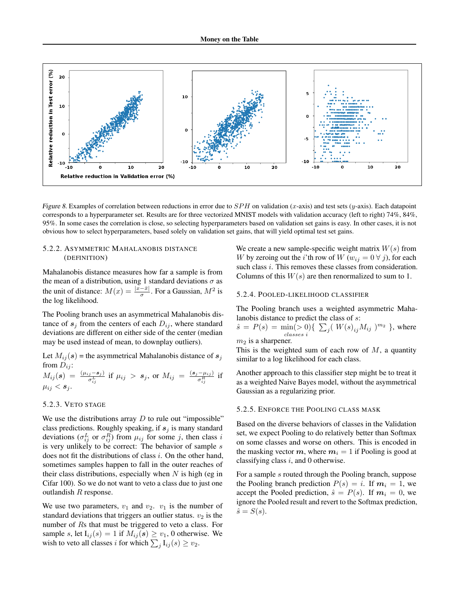<span id="page-8-0"></span>

Figure 8. Examples of correlation between reductions in error due to  $SPH$  on validation (x-axis) and test sets (y-axis). Each datapoint corresponds to a hyperparameter set. Results are for three vectorized MNIST models with validation accuracy (left to right) 74%, 84%, 95%. In some cases the correlation is close, so selecting hyperparameters based on validation set gains is easy. In other cases, it is not obvious how to select hyperparameters, based solely on validation set gains, that will yield optimal test set gains.

## 5.2.2. ASYMMETRIC MAHALANOBIS DISTANCE (DEFINITION)

Mahalanobis distance measures how far a sample is from the mean of a distribution, using 1 standard deviations  $\sigma$  as the unit of distance:  $M(x) = \frac{|x - \bar{x}|}{\sigma}$ . For a Gaussian,  $M^2$  is the log likelihood.

The Pooling branch uses an asymmetrical Mahalanobis distance of  $s_i$  from the centers of each  $D_{ij}$ , where standard deviations are different on either side of the center (median may be used instead of mean, to downplay outliers).

Let  $M_{ij}(s)$  = the asymmetrical Mahalanobis distance of  $s_j$ from  $D_{ij}$ :

$$
M_{ij}(s) = \frac{(\mu_{ij} - s_j)}{\sigma_{ij}^L}
$$
 if  $\mu_{ij} > s_j$ , or  $M_{ij} = \frac{(s_j - \mu_{ij})}{\sigma_{ij}^R}$  if  $\mu_{ij} < s_j$ .

#### 5.2.3. VETO STAGE

We use the distributions array  $D$  to rule out "impossible" class predictions. Roughly speaking, if  $s_j$  is many standard deviations ( $\sigma_{ij}^L$  or  $\sigma_{ij}^R$ ) from  $\mu_{ij}$  for some j, then class i is very unlikely to be correct: The behavior of sample  $s$ does not fit the distributions of class  $i$ . On the other hand, sometimes samples happen to fall in the outer reaches of their class distributions, especially when  $N$  is high (eg in Cifar 100). So we do not want to veto a class due to just one outlandish R response.

We use two parameters,  $v_1$  and  $v_2$ .  $v_1$  is the number of standard deviations that triggers an outlier status.  $v_2$  is the number of Rs that must be triggered to veto a class. For sample s, let  $I_{ij}(s) = 1$  if  $M_{ij}(s) \ge v_1$ , 0 otherwise. We wish to veto all classes *i* for which  $\sum_j I_{ij}(s) \ge v_2$ .

We create a new sample-specific weight matrix  $W(s)$  from W by zeroing out the *i*'th row of  $W(w_{ij} = 0 \forall j)$ , for each such class *i*. This removes these classes from consideration. Columns of this  $W(s)$  are then renormalized to sum to 1.

#### 5.2.4. POOLED-LIKELIHOOD CLASSIFIER

The Pooling branch uses a weighted asymmetric Mahalanobis distance to predict the class of s:

 $\hat{s} = P(s) = \min(> 0) \{ \sum_j (W(s)_{ij} M_{ij})^{m_2} \}$ , where classes i  $m_2$  is a sharpener.

This is the weighted sum of each row of  $M$ , a quantity similar to a log likelihood for each class.

Another approach to this classifier step might be to treat it as a weighted Naive Bayes model, without the asymmetrical Gaussian as a regularizing prior.

#### 5.2.5. ENFORCE THE POOLING CLASS MASK

Based on the diverse behaviors of classes in the Validation set, we expect Pooling to do relatively better than Softmax on some classes and worse on others. This is encoded in the masking vector  $m$ , where  $m_i = 1$  if Pooling is good at classifying class  $i$ , and 0 otherwise.

For a sample s routed through the Pooling branch, suppose the Pooling branch prediction  $P(s) = i$ . If  $m<sub>i</sub> = 1$ , we accept the Pooled prediction,  $\hat{s} = P(s)$ . If  $m_i = 0$ , we ignore the Pooled result and revert to the Softmax prediction,  $\hat{s} = S(s)$ .